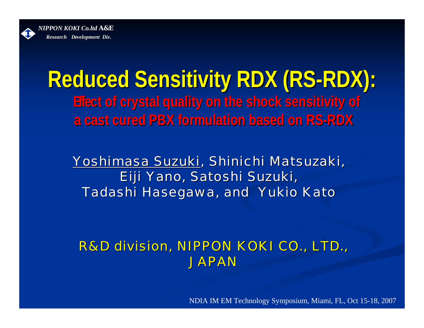

### **Reduced Sensitivity RDX (RS Reduced Sensitivity RDX (RS -RDX): Effect of crystal quality on the shock sensitivity of ffect of crystal quality on the shock sensitivity of a cast cured PBX formulation based on RS a cast cured PBX formulation based on RS-RDX**

<u>Yoshimasa Suzuki,</u> Shinichi Matsuzaki, Eiji Yano, Satoshi Suzuki, Tadashi Hasegawa, and Yukio Kato

#### *R&D division, NIPPON KOKI CO., LTD. ivision, NIPPON KOKI CO., LTD., JAPAN*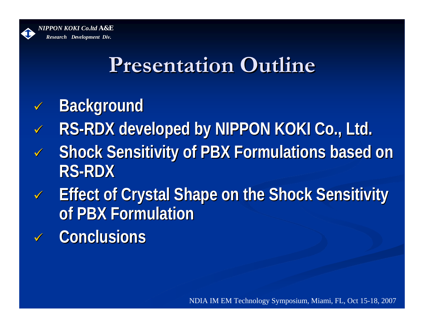

### **Presentation Outline**

- $\checkmark$ **Background Background**
- $\checkmark$ RS-RDX developed by NIPPON KOKI Co., Ltd.
- $\sqrt{}$ **Shock Sensitivity of PBX Formulations based on RS-RDX**
- $\sqrt{2}$ **Effect of Crystal Shape on the Shock Sensitivity of PBX Formulation of PBX Formulation**
- $\checkmark$ **Conclusions Conclusions**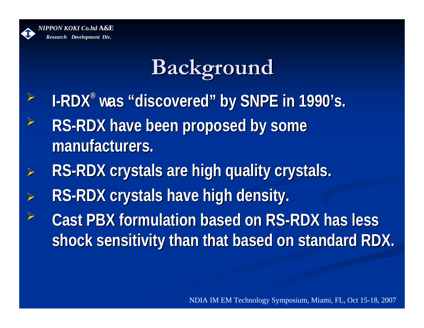

## **Background Background**

- ¾**I-RDX® was"discovered discovered" by SNPE in 1990 by SNPE in 1990's.**
- ¾**RS-RDX have been proposed by some manufacturers. manufacturers.**
- ¾RS-RDX crystals are high quality crystals.
- ¾**RS-RDX crystals have high density.** ¾
- **EXACAST PBX formulation based on RS-RDX has less PD shock sensitivity than that based on standard RDX. shock sensitivity than that based on standard RDX.**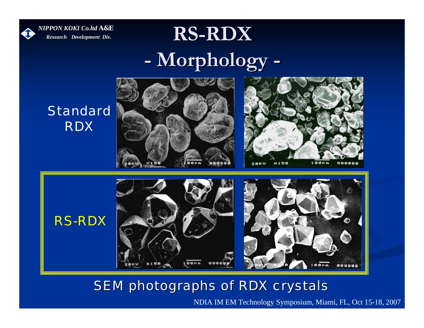

### **RS-RDX -Morphology orphology -**



#### **SEM photographs of RDX crystals**

 $00000$ 

 $100<sub>km</sub>$ 

 $x150$ 

NDIA IMEM Technology Symposium, Miami, FL, Oct 15-18, 2007

888888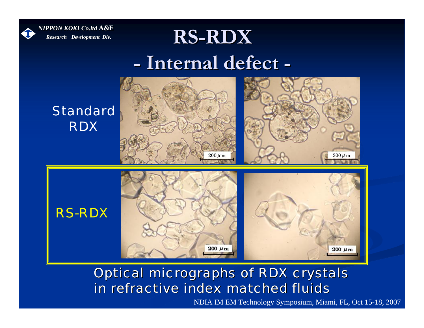

#### $RS-RDX$ **-Internal defect Internal defect -**



#### **Optical micrographs of RDX crystals** *in refractive index matched fluids in refractive index matched fluids*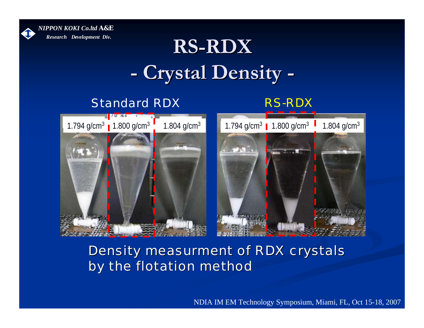

### $RS-RDX$ **-Crystal Density Crystal Density -**

#### Standard RDX

#### RS-RDX





#### Density measurment of RDX crystals by the flotation method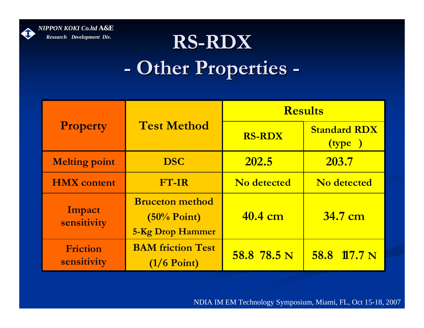

### ${\bf R}$ S-R ${\bf D}{\bf X}$  . **-- Other Properties -**

| <b>Property</b>         | <b>Test Method</b>                                                  | <b>Results</b>     |                               |  |
|-------------------------|---------------------------------------------------------------------|--------------------|-------------------------------|--|
|                         |                                                                     | <b>RS-RDX</b>      | <b>Standard RDX</b><br>(type) |  |
| <b>Melting point</b>    | <b>DSC</b>                                                          | 202.5              | 203.7                         |  |
| <b>HMX</b> content      | <b>FT-IR</b>                                                        | <b>No detected</b> | No detected                   |  |
| Impact<br>sensitivity   | <b>Bruceton method</b><br>$(50\%$ Point)<br><b>5-Kg Drop Hammer</b> | 40.4 cm            | 34.7 cm                       |  |
| Friction<br>sensitivity | <b>BAM friction Test</b><br>$(1/6$ Point)                           | 58.8 78.5 N        | 58.8 17.7 N                   |  |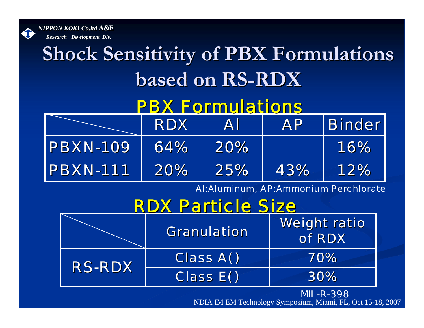

# **Shock Sensitivity of PBX Formulations based on RS based on RS-RDX**

### PBX Formulations

|                  | RDXI | AI  | <b>AP</b> | <b>Binder</b> |
|------------------|------|-----|-----------|---------------|
| <b>PBXN-109</b>  | 64%  | 20% |           | 16%           |
| <b>IPBXN-111</b> | 20%  | 25% | 43%       | 12%           |

Al:Aluminum, AP:Ammonium Perchlorate

### **RDX Particle Size**

|               | <b>Granulation</b> | <b>Weight ratiol</b><br>of RDX |
|---------------|--------------------|--------------------------------|
| <b>RS-RDX</b> | <b>Class A()</b>   | 70%                            |
|               | <b>Class E()</b>   | 30%                            |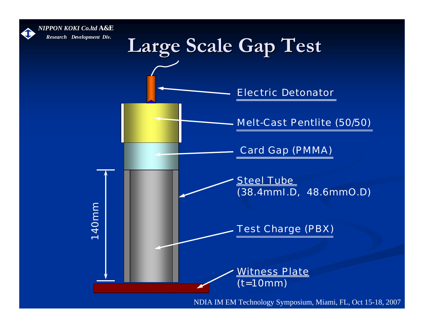

1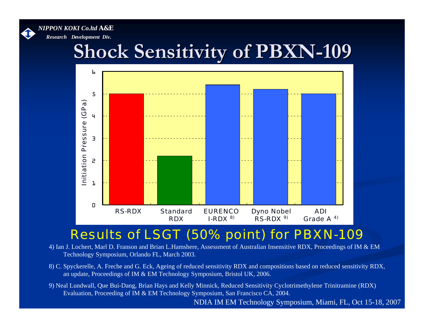

### **Shock Sensitivity of PBXN Shock Sensitivity of PBXN -109**



#### Results of LSGT (50% point) for PBXN-109

- 4) Ian J. Lochert, Marl D. Franson and Brian L.Hamshere, Assessment of Australian Insensitive RDX, Proceedings of IM & EM Technology Symposium, Orlando FL, March 2003.
- 8) C. Spyckerelle, A. Freche and G. Eck, Ageing of reduced sensitivity RDX and compositions based on reduced sensitivity RDX, an update, Proceedings of IM & EM Technology Symposium, Bristol UK, 2006.
- 9) Neal Lundwall, Que Bui-Dang, Brian Hays and Kelly Minnick, Reduced Sensitivity Cyclotrimethylene Trinitramine (RDX) Evaluation, Proceeding of IM & EM Technology Symposium, San Francisco CA, 2004.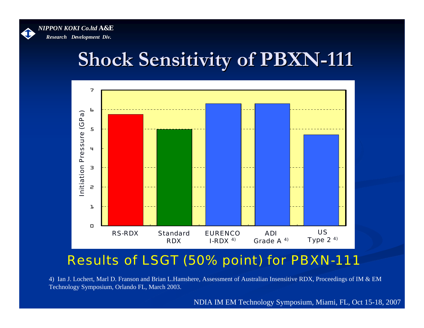

### **Shock Sensitivity of PBXN Shock Sensitivity of PBXN -111**



#### Results of LSGT (50% point) for PBXN-111

4) Ian J. Lochert, Marl D. Franson and Brian L.Hamshere, Assessment of Australian Insensitive RDX, Proceedings of IM & EM Technology Symposium, Orlando FL, March 2003.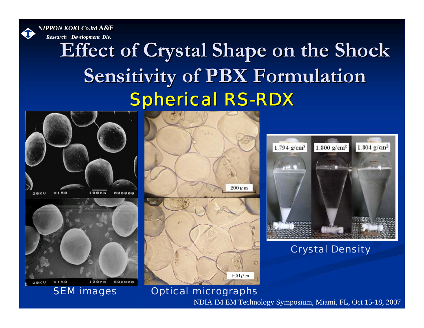*NIPPON KOKI NIPPON KOKI Co.ltd A&E*



*Research Research Development Div.*

### Spherical RS-RDX **Effect of Crystal Shape on the Shock Sensitivity of PBX Formulation Sensitivity of PBX Formulation**











Crystal Density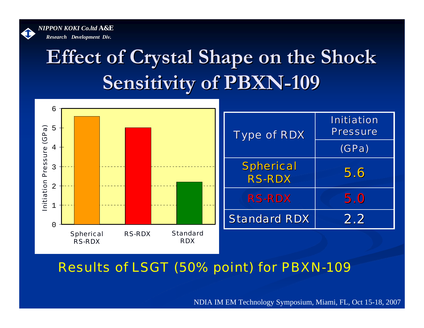

# **Effect of Crystal Shape on the Shock Sensitivity of PBXN Sensitivity of PBXN -109**



Results of LSGT (50% point) for PBXN-109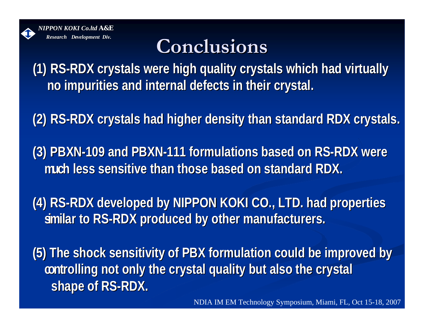

### **Conclusions Conclusions**

**(1) RS-RDX crystals were high quality crystals which had virtually cannot crystals which had virtually in ADM no impurities and internal defects in their crystal. mpurities and internal defects in their crystal.**

**(2) RS-RDX crystals had higher density than standard RDX crystals.** 

**(3) PBXN-109 and PBXN 109 and PBXN-111 formulations based on RS 111 formulations based on RS-RDX were** much less sensitive than those based on standard RDX.

**(4) RS-RDX developed by NIPPON KOKI CO., LTD. had properties similar to RS imilar to RS-RDX produced by other manufacturers. RDX produced by other manufacturers.**

**(5) The shock sensitivity of PBX formulation could be improved b (5) The shock sensitivity of PBX formulation could be improved by**  controlling not only the crystal quality but also the crystal **shape of RS-RDX.**